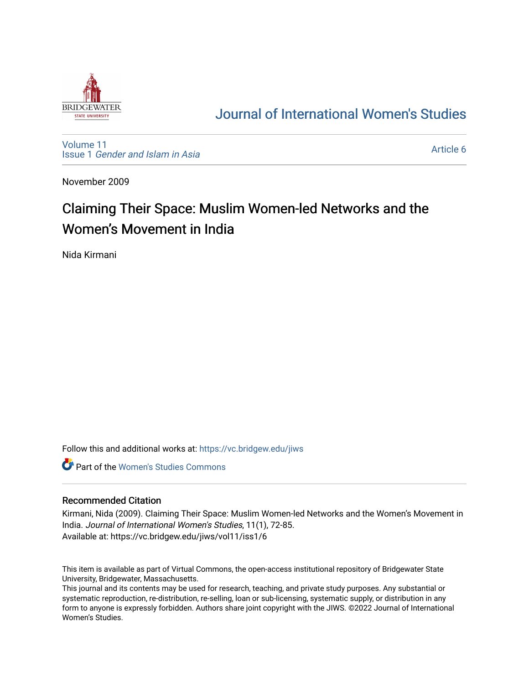

# [Journal of International Women's Studies](https://vc.bridgew.edu/jiws)

[Volume 11](https://vc.bridgew.edu/jiws/vol11) Issue 1 [Gender and Islam in Asia](https://vc.bridgew.edu/jiws/vol11/iss1)

[Article 6](https://vc.bridgew.edu/jiws/vol11/iss1/6) 

November 2009

# Claiming Their Space: Muslim Women-led Networks and the Women's Movement in India

Nida Kirmani

Follow this and additional works at: [https://vc.bridgew.edu/jiws](https://vc.bridgew.edu/jiws?utm_source=vc.bridgew.edu%2Fjiws%2Fvol11%2Fiss1%2F6&utm_medium=PDF&utm_campaign=PDFCoverPages)

**C** Part of the Women's Studies Commons

#### Recommended Citation

Kirmani, Nida (2009). Claiming Their Space: Muslim Women-led Networks and the Women's Movement in India. Journal of International Women's Studies, 11(1), 72-85. Available at: https://vc.bridgew.edu/jiws/vol11/iss1/6

This item is available as part of Virtual Commons, the open-access institutional repository of Bridgewater State University, Bridgewater, Massachusetts.

This journal and its contents may be used for research, teaching, and private study purposes. Any substantial or systematic reproduction, re-distribution, re-selling, loan or sub-licensing, systematic supply, or distribution in any form to anyone is expressly forbidden. Authors share joint copyright with the JIWS. ©2022 Journal of International Women's Studies.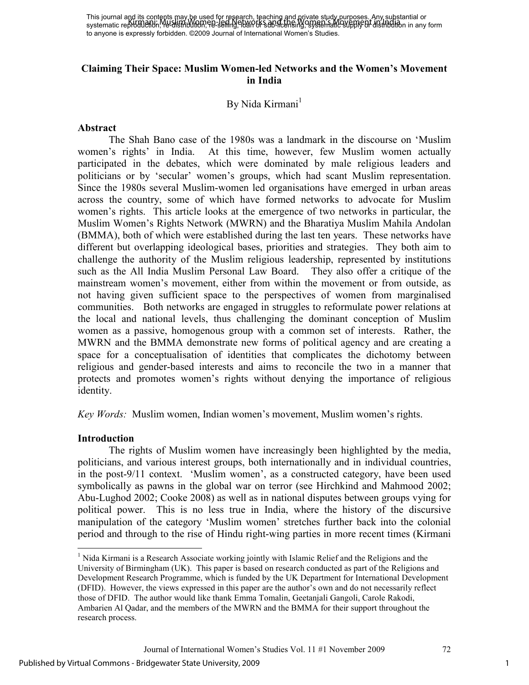# **Claiming Their Space: Muslim Women-led Networks and the Women's Movement in India**

### By Nida Kirmani<sup>1</sup>

#### **Abstract**

The Shah Bano case of the 1980s was a landmark in the discourse on 'Muslim women's rights' in India. At this time, however, few Muslim women actually participated in the debates, which were dominated by male religious leaders and politicians or by 'secular' women's groups, which had scant Muslim representation. Since the 1980s several Muslim-women led organisations have emerged in urban areas across the country, some of which have formed networks to advocate for Muslim women's rights. This article looks at the emergence of two networks in particular, the Muslim Women's Rights Network (MWRN) and the Bharatiya Muslim Mahila Andolan (BMMA), both of which were established during the last ten years. These networks have different but overlapping ideological bases, priorities and strategies. They both aim to challenge the authority of the Muslim religious leadership, represented by institutions such as the All India Muslim Personal Law Board. They also offer a critique of the mainstream women's movement, either from within the movement or from outside, as not having given sufficient space to the perspectives of women from marginalised communities. Both networks are engaged in struggles to reformulate power relations at the local and national levels, thus challenging the dominant conception of Muslim women as a passive, homogenous group with a common set of interests. Rather, the MWRN and the BMMA demonstrate new forms of political agency and are creating a space for a conceptualisation of identities that complicates the dichotomy between religious and gender-based interests and aims to reconcile the two in a manner that protects and promotes women's rights without denying the importance of religious identity.

*Key Words:* Muslim women, Indian women's movement, Muslim women's rights.

#### **Introduction**

<u>.</u>

The rights of Muslim women have increasingly been highlighted by the media, politicians, and various interest groups, both internationally and in individual countries, in the post-9/11 context. 'Muslim women', as a constructed category, have been used symbolically as pawns in the global war on terror (see Hirchkind and Mahmood 2002; Abu-Lughod 2002; Cooke 2008) as well as in national disputes between groups vying for political power. This is no less true in India, where the history of the discursive manipulation of the category 'Muslim women' stretches further back into the colonial period and through to the rise of Hindu right-wing parties in more recent times (Kirmani

<sup>&</sup>lt;sup>1</sup> Nida Kirmani is a Research Associate working jointly with Islamic Relief and the Religions and the University of Birmingham (UK). This paper is based on research conducted as part of the Religions and Development Research Programme, which is funded by the UK Department for International Development (DFID). However, the views expressed in this paper are the author's own and do not necessarily reflect those of DFID. The author would like thank Emma Tomalin, Geetanjali Gangoli, Carole Rakodi, Ambarien Al Qadar, and the members of the MWRN and the BMMA for their support throughout the research process.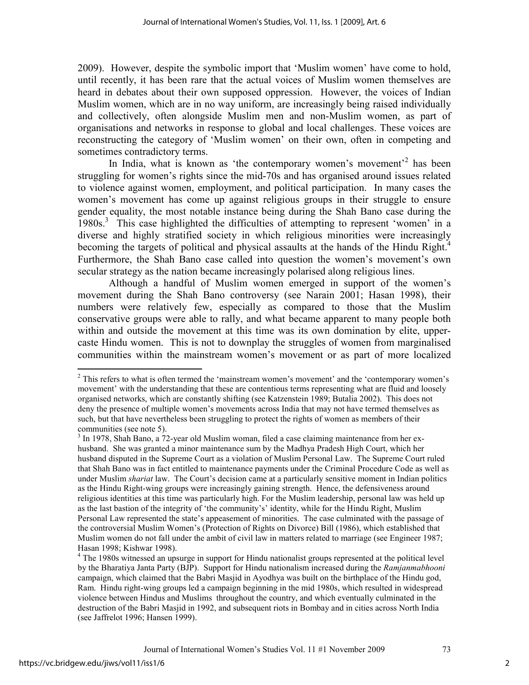2009). However, despite the symbolic import that 'Muslim women' have come to hold, until recently, it has been rare that the actual voices of Muslim women themselves are heard in debates about their own supposed oppression. However, the voices of Indian Muslim women, which are in no way uniform, are increasingly being raised individually and collectively, often alongside Muslim men and non-Muslim women, as part of organisations and networks in response to global and local challenges. These voices are reconstructing the category of 'Muslim women' on their own, often in competing and sometimes contradictory terms.

In India, what is known as 'the contemporary women's movement<sup>2</sup> has been struggling for women's rights since the mid-70s and has organised around issues related to violence against women, employment, and political participation. In many cases the women's movement has come up against religious groups in their struggle to ensure gender equality, the most notable instance being during the Shah Bano case during the 1980s.<sup>3</sup> This case highlighted the difficulties of attempting to represent 'women' in a diverse and highly stratified society in which religious minorities were increasingly becoming the targets of political and physical assaults at the hands of the Hindu Right.<sup>4</sup> Furthermore, the Shah Bano case called into question the women's movement's own secular strategy as the nation became increasingly polarised along religious lines.

Although a handful of Muslim women emerged in support of the women's movement during the Shah Bano controversy (see Narain 2001; Hasan 1998), their numbers were relatively few, especially as compared to those that the Muslim conservative groups were able to rally, and what became apparent to many people both within and outside the movement at this time was its own domination by elite, uppercaste Hindu women. This is not to downplay the struggles of women from marginalised communities within the mainstream women's movement or as part of more localized

<u>.</u>

 $2$  This refers to what is often termed the 'mainstream women's movement' and the 'contemporary women's movement' with the understanding that these are contentious terms representing what are fluid and loosely organised networks, which are constantly shifting (see Katzenstein 1989; Butalia 2002). This does not deny the presence of multiple women's movements across India that may not have termed themselves as such, but that have nevertheless been struggling to protect the rights of women as members of their communities (see note 5).

<sup>&</sup>lt;sup>3</sup> In 1978, Shah Bano, a 72-year old Muslim woman, filed a case claiming maintenance from her exhusband. She was granted a minor maintenance sum by the Madhya Pradesh High Court, which her husband disputed in the Supreme Court as a violation of Muslim Personal Law. The Supreme Court ruled that Shah Bano was in fact entitled to maintenance payments under the Criminal Procedure Code as well as under Muslim *shariat* law. The Court's decision came at a particularly sensitive moment in Indian politics as the Hindu Right-wing groups were increasingly gaining strength. Hence, the defensiveness around religious identities at this time was particularly high. For the Muslim leadership, personal law was held up as the last bastion of the integrity of 'the community's' identity, while for the Hindu Right, Muslim Personal Law represented the state's appeasement of minorities. The case culminated with the passage of the controversial Muslim Women's (Protection of Rights on Divorce) Bill (1986), which established that Muslim women do not fall under the ambit of civil law in matters related to marriage (see Engineer 1987; Hasan 1998; Kishwar 1998).

<sup>&</sup>lt;sup>4</sup> The 1980s witnessed an upsurge in support for Hindu nationalist groups represented at the political level by the Bharatiya Janta Party (BJP). Support for Hindu nationalism increased during the *Ramjanmabhooni*  campaign, which claimed that the Babri Masjid in Ayodhya was built on the birthplace of the Hindu god, Ram. Hindu right-wing groups led a campaign beginning in the mid 1980s, which resulted in widespread violence between Hindus and Muslims throughout the country, and which eventually culminated in the destruction of the Babri Masjid in 1992, and subsequent riots in Bombay and in cities across North India (see Jaffrelot 1996; Hansen 1999).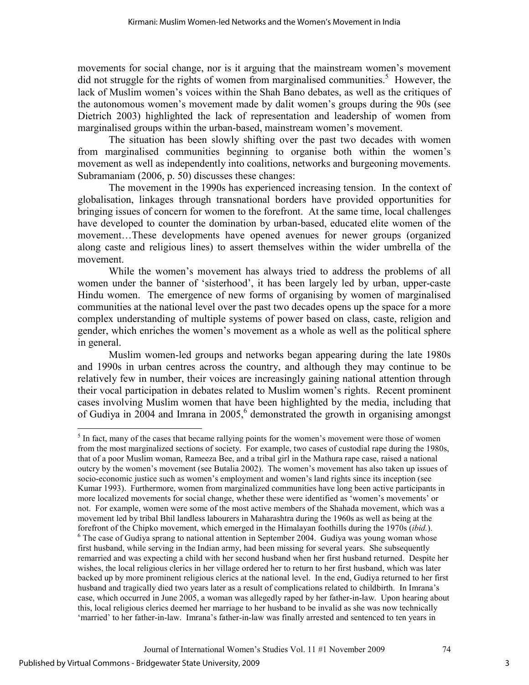movements for social change, nor is it arguing that the mainstream women's movement did not struggle for the rights of women from marginalised communities.<sup>5</sup> However, the lack of Muslim women's voices within the Shah Bano debates, as well as the critiques of the autonomous women's movement made by dalit women's groups during the 90s (see Dietrich 2003) highlighted the lack of representation and leadership of women from marginalised groups within the urban-based, mainstream women's movement.

The situation has been slowly shifting over the past two decades with women from marginalised communities beginning to organise both within the women's movement as well as independently into coalitions, networks and burgeoning movements. Subramaniam (2006, p. 50) discusses these changes:

 The movement in the 1990s has experienced increasing tension. In the context of globalisation, linkages through transnational borders have provided opportunities for bringing issues of concern for women to the forefront. At the same time, local challenges have developed to counter the domination by urban-based, educated elite women of the movement…These developments have opened avenues for newer groups (organized along caste and religious lines) to assert themselves within the wider umbrella of the movement.

 While the women's movement has always tried to address the problems of all women under the banner of 'sisterhood', it has been largely led by urban, upper-caste Hindu women. The emergence of new forms of organising by women of marginalised communities at the national level over the past two decades opens up the space for a more complex understanding of multiple systems of power based on class, caste, religion and gender, which enriches the women's movement as a whole as well as the political sphere in general.

Muslim women-led groups and networks began appearing during the late 1980s and 1990s in urban centres across the country, and although they may continue to be relatively few in number, their voices are increasingly gaining national attention through their vocal participation in debates related to Muslim women's rights. Recent prominent cases involving Muslim women that have been highlighted by the media, including that of Gudiya in 2004 and Imrana in 2005,<sup>6</sup> demonstrated the growth in organising amongst

 $\overline{a}$ 

<sup>&</sup>lt;sup>5</sup> In fact, many of the cases that became rallying points for the women's movement were those of women from the most marginalized sections of society. For example, two cases of custodial rape during the 1980s, that of a poor Muslim woman, Rameeza Bee, and a tribal girl in the Mathura rape case, raised a national outcry by the women's movement (see Butalia 2002). The women's movement has also taken up issues of socio-economic justice such as women's employment and women's land rights since its inception (see Kumar 1993). Furthermore, women from marginalized communities have long been active participants in more localized movements for social change, whether these were identified as 'women's movements' or not. For example, women were some of the most active members of the Shahada movement, which was a movement led by tribal Bhil landless labourers in Maharashtra during the 1960s as well as being at the forefront of the Chipko movement, which emerged in the Himalayan foothills during the 1970s (*ibid.*). <sup>6</sup> The case of Gudiya sprang to national attention in September 2004. Gudiya was young woman whose first husband, while serving in the Indian army, had been missing for several years. She subsequently remarried and was expecting a child with her second husband when her first husband returned. Despite her wishes, the local religious clerics in her village ordered her to return to her first husband, which was later backed up by more prominent religious clerics at the national level. In the end, Gudiya returned to her first husband and tragically died two years later as a result of complications related to childbirth. In Imrana's case, which occurred in June 2005, a woman was allegedly raped by her father-in-law. Upon hearing about this, local religious clerics deemed her marriage to her husband to be invalid as she was now technically 'married' to her father-in-law. Imrana's father-in-law was finally arrested and sentenced to ten years in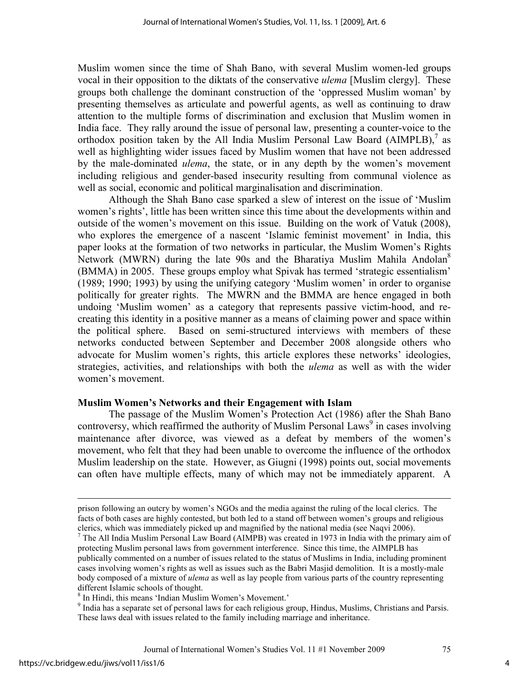Muslim women since the time of Shah Bano, with several Muslim women-led groups vocal in their opposition to the diktats of the conservative *ulema* [Muslim clergy]. These groups both challenge the dominant construction of the 'oppressed Muslim woman' by presenting themselves as articulate and powerful agents, as well as continuing to draw attention to the multiple forms of discrimination and exclusion that Muslim women in India face. They rally around the issue of personal law, presenting a counter-voice to the orthodox position taken by the All India Muslim Personal Law Board  $(AIMPLB)$ ,<sup>7</sup> as well as highlighting wider issues faced by Muslim women that have not been addressed by the male-dominated *ulema*, the state, or in any depth by the women's movement including religious and gender-based insecurity resulting from communal violence as well as social, economic and political marginalisation and discrimination.

Although the Shah Bano case sparked a slew of interest on the issue of 'Muslim women's rights', little has been written since this time about the developments within and outside of the women's movement on this issue. Building on the work of Vatuk (2008), who explores the emergence of a nascent 'Islamic feminist movement' in India, this paper looks at the formation of two networks in particular, the Muslim Women's Rights Network (MWRN) during the late 90s and the Bharatiya Muslim Mahila Andolan<sup>8</sup> (BMMA) in 2005. These groups employ what Spivak has termed 'strategic essentialism' (1989; 1990; 1993) by using the unifying category 'Muslim women' in order to organise politically for greater rights. The MWRN and the BMMA are hence engaged in both undoing 'Muslim women' as a category that represents passive victim-hood, and recreating this identity in a positive manner as a means of claiming power and space within the political sphere. Based on semi-structured interviews with members of these networks conducted between September and December 2008 alongside others who advocate for Muslim women's rights, this article explores these networks' ideologies, strategies, activities, and relationships with both the *ulema* as well as with the wider women's movement.

#### **Muslim Women's Networks and their Engagement with Islam**

The passage of the Muslim Women's Protection Act (1986) after the Shah Bano controversy, which reaffirmed the authority of Muslim Personal Laws<sup>9</sup> in cases involving maintenance after divorce, was viewed as a defeat by members of the women's movement, who felt that they had been unable to overcome the influence of the orthodox Muslim leadership on the state. However, as Giugni (1998) points out, social movements can often have multiple effects, many of which may not be immediately apparent. A

 $\overline{a}$ 

prison following an outcry by women's NGOs and the media against the ruling of the local clerics. The facts of both cases are highly contested, but both led to a stand off between women's groups and religious clerics, which was immediately picked up and magnified by the national media (see Naqvi 2006).

<sup>7</sup> The All India Muslim Personal Law Board (AIMPB) was created in 1973 in India with the primary aim of protecting Muslim personal laws from government interference. Since this time, the AIMPLB has publically commented on a number of issues related to the status of Muslims in India, including prominent cases involving women's rights as well as issues such as the Babri Masjid demolition. It is a mostly-male body composed of a mixture of *ulema* as well as lay people from various parts of the country representing different Islamic schools of thought.

<sup>8</sup> In Hindi, this means 'Indian Muslim Women's Movement.'

<sup>&</sup>lt;sup>9</sup> India has a separate set of personal laws for each religious group, Hindus, Muslims, Christians and Parsis. These laws deal with issues related to the family including marriage and inheritance.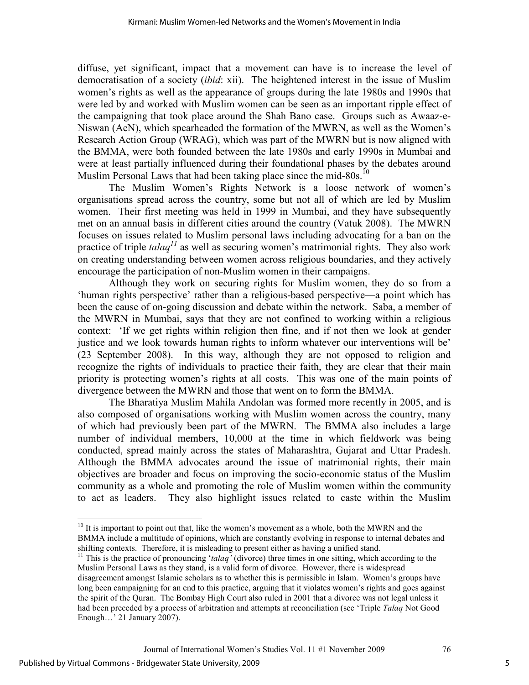diffuse, yet significant, impact that a movement can have is to increase the level of democratisation of a society (*ibid*: xii). The heightened interest in the issue of Muslim women's rights as well as the appearance of groups during the late 1980s and 1990s that were led by and worked with Muslim women can be seen as an important ripple effect of the campaigning that took place around the Shah Bano case. Groups such as Awaaz-e-Niswan (AeN), which spearheaded the formation of the MWRN, as well as the Women's Research Action Group (WRAG), which was part of the MWRN but is now aligned with the BMMA, were both founded between the late 1980s and early 1990s in Mumbai and were at least partially influenced during their foundational phases by the debates around Muslim Personal Laws that had been taking place since the mid-80s.<sup>10</sup>

The Muslim Women's Rights Network is a loose network of women's organisations spread across the country, some but not all of which are led by Muslim women. Their first meeting was held in 1999 in Mumbai, and they have subsequently met on an annual basis in different cities around the country (Vatuk 2008). The MWRN focuses on issues related to Muslim personal laws including advocating for a ban on the practice of triple *talaq<sup>11</sup>* as well as securing women's matrimonial rights. They also work on creating understanding between women across religious boundaries, and they actively encourage the participation of non-Muslim women in their campaigns.

Although they work on securing rights for Muslim women, they do so from a 'human rights perspective' rather than a religious-based perspective—a point which has been the cause of on-going discussion and debate within the network. Saba, a member of the MWRN in Mumbai, says that they are not confined to working within a religious context: 'If we get rights within religion then fine, and if not then we look at gender justice and we look towards human rights to inform whatever our interventions will be' (23 September 2008). In this way, although they are not opposed to religion and recognize the rights of individuals to practice their faith, they are clear that their main priority is protecting women's rights at all costs. This was one of the main points of divergence between the MWRN and those that went on to form the BMMA.

The Bharatiya Muslim Mahila Andolan was formed more recently in 2005, and is also composed of organisations working with Muslim women across the country, many of which had previously been part of the MWRN. The BMMA also includes a large number of individual members, 10,000 at the time in which fieldwork was being conducted, spread mainly across the states of Maharashtra, Gujarat and Uttar Pradesh. Although the BMMA advocates around the issue of matrimonial rights, their main objectives are broader and focus on improving the socio-economic status of the Muslim community as a whole and promoting the role of Muslim women within the community to act as leaders. They also highlight issues related to caste within the Muslim

l <sup>10</sup> It is important to point out that, like the women's movement as a whole, both the MWRN and the BMMA include a multitude of opinions, which are constantly evolving in response to internal debates and shifting contexts. Therefore, it is misleading to present either as having a unified stand.

<sup>&</sup>lt;sup>11</sup> This is the practice of pronouncing '*talaq'* (divorce) three times in one sitting, which according to the Muslim Personal Laws as they stand, is a valid form of divorce. However, there is widespread disagreement amongst Islamic scholars as to whether this is permissible in Islam. Women's groups have long been campaigning for an end to this practice, arguing that it violates women's rights and goes against the spirit of the Quran. The Bombay High Court also ruled in 2001 that a divorce was not legal unless it had been preceded by a process of arbitration and attempts at reconciliation (see 'Triple *Talaq* Not Good Enough…' 21 January 2007).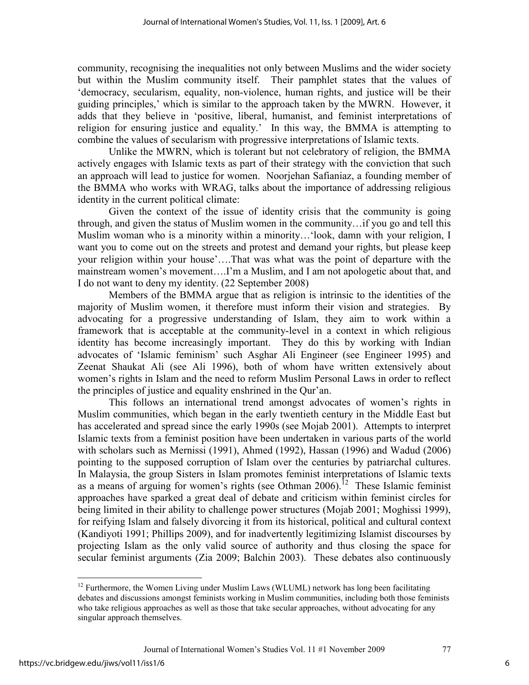community, recognising the inequalities not only between Muslims and the wider society but within the Muslim community itself. Their pamphlet states that the values of 'democracy, secularism, equality, non-violence, human rights, and justice will be their guiding principles,' which is similar to the approach taken by the MWRN. However, it adds that they believe in 'positive, liberal, humanist, and feminist interpretations of religion for ensuring justice and equality.' In this way, the BMMA is attempting to combine the values of secularism with progressive interpretations of Islamic texts.

Unlike the MWRN, which is tolerant but not celebratory of religion, the BMMA actively engages with Islamic texts as part of their strategy with the conviction that such an approach will lead to justice for women. Noorjehan Safianiaz, a founding member of the BMMA who works with WRAG, talks about the importance of addressing religious identity in the current political climate:

 Given the context of the issue of identity crisis that the community is going through, and given the status of Muslim women in the community…if you go and tell this Muslim woman who is a minority within a minority…'look, damn with your religion, I want you to come out on the streets and protest and demand your rights, but please keep your religion within your house'….That was what was the point of departure with the mainstream women's movement….I'm a Muslim, and I am not apologetic about that, and I do not want to deny my identity. (22 September 2008)

 Members of the BMMA argue that as religion is intrinsic to the identities of the majority of Muslim women, it therefore must inform their vision and strategies. By advocating for a progressive understanding of Islam, they aim to work within a framework that is acceptable at the community-level in a context in which religious identity has become increasingly important. They do this by working with Indian advocates of 'Islamic feminism' such Asghar Ali Engineer (see Engineer 1995) and Zeenat Shaukat Ali (see Ali 1996), both of whom have written extensively about women's rights in Islam and the need to reform Muslim Personal Laws in order to reflect the principles of justice and equality enshrined in the Qur'an.

This follows an international trend amongst advocates of women's rights in Muslim communities, which began in the early twentieth century in the Middle East but has accelerated and spread since the early 1990s (see Mojab 2001). Attempts to interpret Islamic texts from a feminist position have been undertaken in various parts of the world with scholars such as Mernissi (1991), Ahmed (1992), Hassan (1996) and Wadud (2006) pointing to the supposed corruption of Islam over the centuries by patriarchal cultures. In Malaysia, the group Sisters in Islam promotes feminist interpretations of Islamic texts as a means of arguing for women's rights (see Othman 2006).<sup>12</sup> These Islamic feminist approaches have sparked a great deal of debate and criticism within feminist circles for being limited in their ability to challenge power structures (Mojab 2001; Moghissi 1999), for reifying Islam and falsely divorcing it from its historical, political and cultural context (Kandiyoti 1991; Phillips 2009), and for inadvertently legitimizing Islamist discourses by projecting Islam as the only valid source of authority and thus closing the space for secular feminist arguments (Zia 2009; Balchin 2003). These debates also continuously

l

 $12$  Furthermore, the Women Living under Muslim Laws (WLUML) network has long been facilitating debates and discussions amongst feminists working in Muslim communities, including both those feminists who take religious approaches as well as those that take secular approaches, without advocating for any singular approach themselves.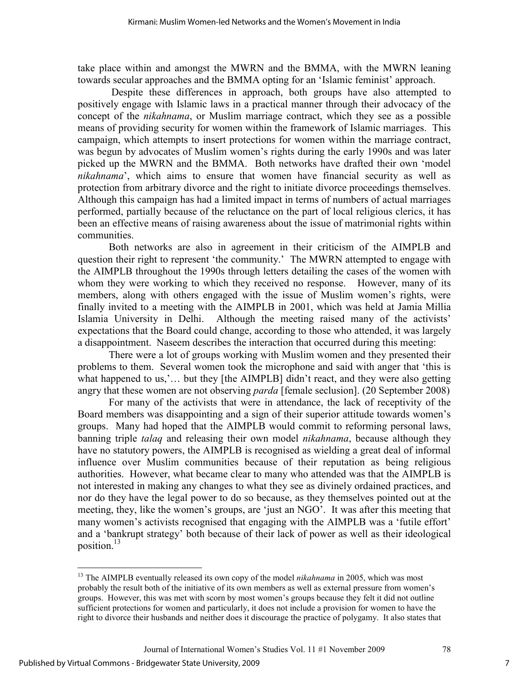take place within and amongst the MWRN and the BMMA, with the MWRN leaning towards secular approaches and the BMMA opting for an 'Islamic feminist' approach.

 Despite these differences in approach, both groups have also attempted to positively engage with Islamic laws in a practical manner through their advocacy of the concept of the *nikahnama*, or Muslim marriage contract, which they see as a possible means of providing security for women within the framework of Islamic marriages. This campaign, which attempts to insert protections for women within the marriage contract, was begun by advocates of Muslim women's rights during the early 1990s and was later picked up the MWRN and the BMMA. Both networks have drafted their own 'model *nikahnama*', which aims to ensure that women have financial security as well as protection from arbitrary divorce and the right to initiate divorce proceedings themselves. Although this campaign has had a limited impact in terms of numbers of actual marriages performed, partially because of the reluctance on the part of local religious clerics, it has been an effective means of raising awareness about the issue of matrimonial rights within communities.

Both networks are also in agreement in their criticism of the AIMPLB and question their right to represent 'the community.' The MWRN attempted to engage with the AIMPLB throughout the 1990s through letters detailing the cases of the women with whom they were working to which they received no response. However, many of its members, along with others engaged with the issue of Muslim women's rights, were finally invited to a meeting with the AIMPLB in 2001, which was held at Jamia Millia Islamia University in Delhi. Although the meeting raised many of the activists' expectations that the Board could change, according to those who attended, it was largely a disappointment. Naseem describes the interaction that occurred during this meeting:

 There were a lot of groups working with Muslim women and they presented their problems to them. Several women took the microphone and said with anger that 'this is what happened to us,'... but they [the AIMPLB] didn't react, and they were also getting angry that these women are not observing *parda* [female seclusion]. (20 September 2008)

 For many of the activists that were in attendance, the lack of receptivity of the Board members was disappointing and a sign of their superior attitude towards women's groups. Many had hoped that the AIMPLB would commit to reforming personal laws, banning triple *talaq* and releasing their own model *nikahnama*, because although they have no statutory powers, the AIMPLB is recognised as wielding a great deal of informal influence over Muslim communities because of their reputation as being religious authorities. However, what became clear to many who attended was that the AIMPLB is not interested in making any changes to what they see as divinely ordained practices, and nor do they have the legal power to do so because, as they themselves pointed out at the meeting, they, like the women's groups, are 'just an NGO'. It was after this meeting that many women's activists recognised that engaging with the AIMPLB was a 'futile effort' and a 'bankrupt strategy' both because of their lack of power as well as their ideological position.<sup>13</sup>

 $\overline{a}$ <sup>13</sup> The AIMPLB eventually released its own copy of the model *nikahnama* in 2005, which was most probably the result both of the initiative of its own members as well as external pressure from women's groups. However, this was met with scorn by most women's groups because they felt it did not outline sufficient protections for women and particularly, it does not include a provision for women to have the right to divorce their husbands and neither does it discourage the practice of polygamy. It also states that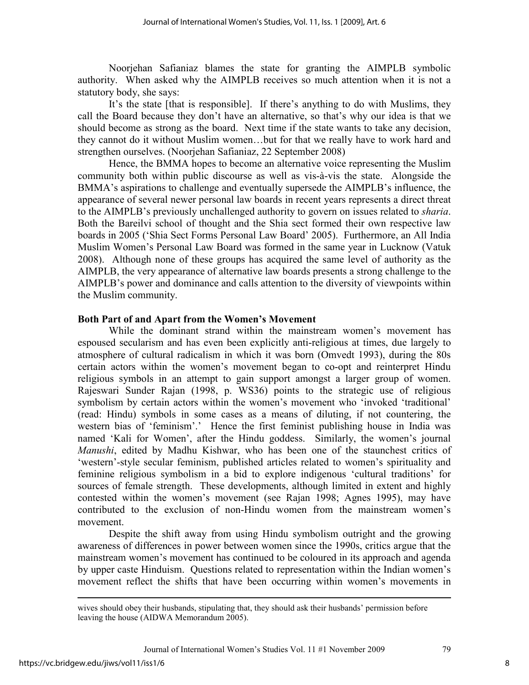Noorjehan Safianiaz blames the state for granting the AIMPLB symbolic authority. When asked why the AIMPLB receives so much attention when it is not a statutory body, she says:

 It's the state [that is responsible]. If there's anything to do with Muslims, they call the Board because they don't have an alternative, so that's why our idea is that we should become as strong as the board. Next time if the state wants to take any decision, they cannot do it without Muslim women…but for that we really have to work hard and strengthen ourselves. (Noorjehan Safianiaz, 22 September 2008)

 Hence, the BMMA hopes to become an alternative voice representing the Muslim community both within public discourse as well as vis-à-vis the state. Alongside the BMMA's aspirations to challenge and eventually supersede the AIMPLB's influence, the appearance of several newer personal law boards in recent years represents a direct threat to the AIMPLB's previously unchallenged authority to govern on issues related to *sharia*. Both the Bareilvi school of thought and the Shia sect formed their own respective law boards in 2005 ('Shia Sect Forms Personal Law Board' 2005). Furthermore, an All India Muslim Women's Personal Law Board was formed in the same year in Lucknow (Vatuk 2008). Although none of these groups has acquired the same level of authority as the AIMPLB, the very appearance of alternative law boards presents a strong challenge to the AIMPLB's power and dominance and calls attention to the diversity of viewpoints within the Muslim community.

# **Both Part of and Apart from the Women's Movement**

While the dominant strand within the mainstream women's movement has espoused secularism and has even been explicitly anti-religious at times, due largely to atmosphere of cultural radicalism in which it was born (Omvedt 1993), during the 80s certain actors within the women's movement began to co-opt and reinterpret Hindu religious symbols in an attempt to gain support amongst a larger group of women. Rajeswari Sunder Rajan (1998, p. WS36) points to the strategic use of religious symbolism by certain actors within the women's movement who 'invoked 'traditional' (read: Hindu) symbols in some cases as a means of diluting, if not countering, the western bias of 'feminism'.' Hence the first feminist publishing house in India was named 'Kali for Women', after the Hindu goddess. Similarly, the women's journal *Manushi*, edited by Madhu Kishwar, who has been one of the staunchest critics of 'western'-style secular feminism, published articles related to women's spirituality and feminine religious symbolism in a bid to explore indigenous 'cultural traditions' for sources of female strength. These developments, although limited in extent and highly contested within the women's movement (see Rajan 1998; Agnes 1995), may have contributed to the exclusion of non-Hindu women from the mainstream women's movement.

Despite the shift away from using Hindu symbolism outright and the growing awareness of differences in power between women since the 1990s, critics argue that the mainstream women's movement has continued to be coloured in its approach and agenda by upper caste Hinduism. Questions related to representation within the Indian women's movement reflect the shifts that have been occurring within women's movements in

 $\overline{a}$ 

wives should obey their husbands, stipulating that, they should ask their husbands' permission before leaving the house (AIDWA Memorandum 2005).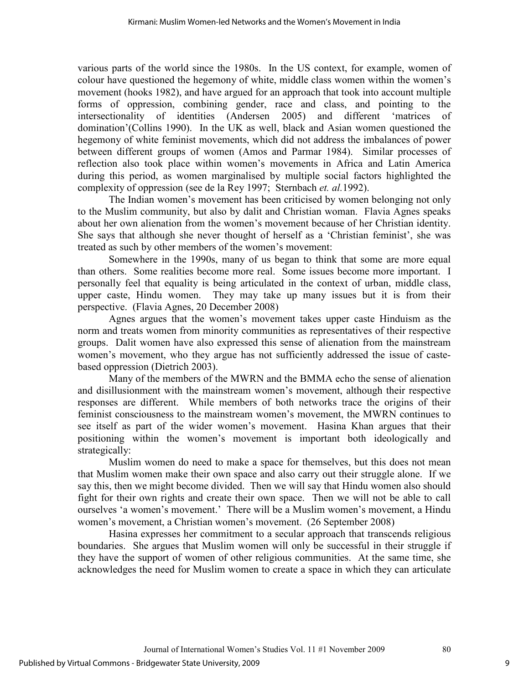various parts of the world since the 1980s. In the US context, for example, women of colour have questioned the hegemony of white, middle class women within the women's movement (hooks 1982), and have argued for an approach that took into account multiple forms of oppression, combining gender, race and class, and pointing to the intersectionality of identities (Andersen 2005) and different 'matrices of domination'(Collins 1990). In the UK as well, black and Asian women questioned the hegemony of white feminist movements, which did not address the imbalances of power between different groups of women (Amos and Parmar 1984). Similar processes of reflection also took place within women's movements in Africa and Latin America during this period, as women marginalised by multiple social factors highlighted the complexity of oppression (see de la Rey 1997; Sternbach *et. al.*1992).

The Indian women's movement has been criticised by women belonging not only to the Muslim community, but also by dalit and Christian woman. Flavia Agnes speaks about her own alienation from the women's movement because of her Christian identity. She says that although she never thought of herself as a 'Christian feminist', she was treated as such by other members of the women's movement:

 Somewhere in the 1990s, many of us began to think that some are more equal than others. Some realities become more real. Some issues become more important. I personally feel that equality is being articulated in the context of urban, middle class, upper caste, Hindu women. They may take up many issues but it is from their perspective. (Flavia Agnes, 20 December 2008)

 Agnes argues that the women's movement takes upper caste Hinduism as the norm and treats women from minority communities as representatives of their respective groups. Dalit women have also expressed this sense of alienation from the mainstream women's movement, who they argue has not sufficiently addressed the issue of castebased oppression (Dietrich 2003).

Many of the members of the MWRN and the BMMA echo the sense of alienation and disillusionment with the mainstream women's movement, although their respective responses are different. While members of both networks trace the origins of their feminist consciousness to the mainstream women's movement, the MWRN continues to see itself as part of the wider women's movement. Hasina Khan argues that their positioning within the women's movement is important both ideologically and strategically:

 Muslim women do need to make a space for themselves, but this does not mean that Muslim women make their own space and also carry out their struggle alone. If we say this, then we might become divided. Then we will say that Hindu women also should fight for their own rights and create their own space. Then we will not be able to call ourselves 'a women's movement.' There will be a Muslim women's movement, a Hindu women's movement, a Christian women's movement. (26 September 2008)

 Hasina expresses her commitment to a secular approach that transcends religious boundaries. She argues that Muslim women will only be successful in their struggle if they have the support of women of other religious communities. At the same time, she acknowledges the need for Muslim women to create a space in which they can articulate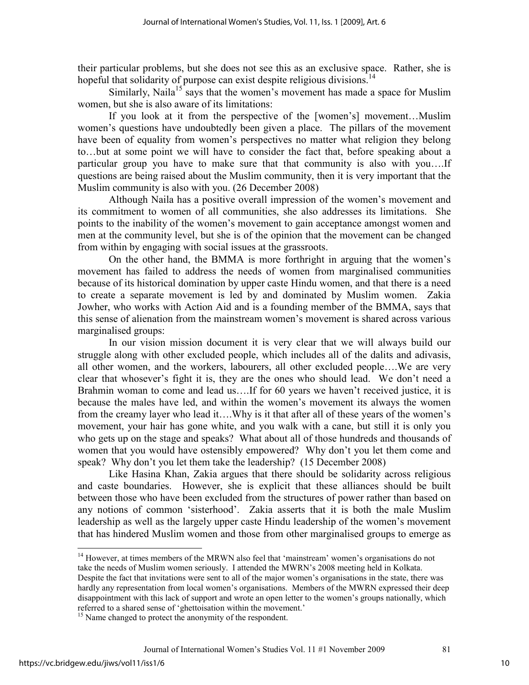their particular problems, but she does not see this as an exclusive space. Rather, she is hopeful that solidarity of purpose can exist despite religious divisions.<sup>14</sup>

Similarly, Naila<sup>15</sup> says that the women's movement has made a space for Muslim women, but she is also aware of its limitations:

 If you look at it from the perspective of the [women's] movement…Muslim women's questions have undoubtedly been given a place. The pillars of the movement have been of equality from women's perspectives no matter what religion they belong to…but at some point we will have to consider the fact that, before speaking about a particular group you have to make sure that that community is also with you….If questions are being raised about the Muslim community, then it is very important that the Muslim community is also with you. (26 December 2008)

 Although Naila has a positive overall impression of the women's movement and its commitment to women of all communities, she also addresses its limitations. She points to the inability of the women's movement to gain acceptance amongst women and men at the community level, but she is of the opinion that the movement can be changed from within by engaging with social issues at the grassroots.

On the other hand, the BMMA is more forthright in arguing that the women's movement has failed to address the needs of women from marginalised communities because of its historical domination by upper caste Hindu women, and that there is a need to create a separate movement is led by and dominated by Muslim women. Zakia Jowher, who works with Action Aid and is a founding member of the BMMA, says that this sense of alienation from the mainstream women's movement is shared across various marginalised groups:

 In our vision mission document it is very clear that we will always build our struggle along with other excluded people, which includes all of the dalits and adivasis, all other women, and the workers, labourers, all other excluded people….We are very clear that whosever's fight it is, they are the ones who should lead. We don't need a Brahmin woman to come and lead us….If for 60 years we haven't received justice, it is because the males have led, and within the women's movement its always the women from the creamy layer who lead it….Why is it that after all of these years of the women's movement, your hair has gone white, and you walk with a cane, but still it is only you who gets up on the stage and speaks? What about all of those hundreds and thousands of women that you would have ostensibly empowered? Why don't you let them come and speak? Why don't you let them take the leadership? (15 December 2008)

 Like Hasina Khan, Zakia argues that there should be solidarity across religious and caste boundaries. However, she is explicit that these alliances should be built between those who have been excluded from the structures of power rather than based on any notions of common 'sisterhood'. Zakia asserts that it is both the male Muslim leadership as well as the largely upper caste Hindu leadership of the women's movement that has hindered Muslim women and those from other marginalised groups to emerge as

 $\overline{a}$ 

<sup>&</sup>lt;sup>14</sup> However, at times members of the MRWN also feel that 'mainstream' women's organisations do not take the needs of Muslim women seriously. I attended the MWRN's 2008 meeting held in Kolkata. Despite the fact that invitations were sent to all of the major women's organisations in the state, there was hardly any representation from local women's organisations. Members of the MWRN expressed their deep disappointment with this lack of support and wrote an open letter to the women's groups nationally, which referred to a shared sense of 'ghettoisation within the movement.'

<sup>&</sup>lt;sup>15</sup> Name changed to protect the anonymity of the respondent.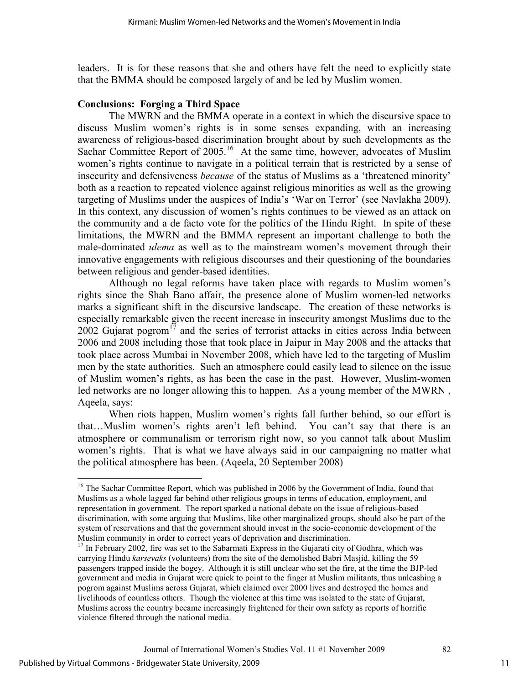leaders. It is for these reasons that she and others have felt the need to explicitly state that the BMMA should be composed largely of and be led by Muslim women.

# **Conclusions: Forging a Third Space**

The MWRN and the BMMA operate in a context in which the discursive space to discuss Muslim women's rights is in some senses expanding, with an increasing awareness of religious-based discrimination brought about by such developments as the Sachar Committee Report of 2005.<sup>16</sup> At the same time, however, advocates of Muslim women's rights continue to navigate in a political terrain that is restricted by a sense of insecurity and defensiveness *because* of the status of Muslims as a 'threatened minority' both as a reaction to repeated violence against religious minorities as well as the growing targeting of Muslims under the auspices of India's 'War on Terror' (see Navlakha 2009). In this context, any discussion of women's rights continues to be viewed as an attack on the community and a de facto vote for the politics of the Hindu Right. In spite of these limitations, the MWRN and the BMMA represent an important challenge to both the male-dominated *ulema* as well as to the mainstream women's movement through their innovative engagements with religious discourses and their questioning of the boundaries between religious and gender-based identities.

Although no legal reforms have taken place with regards to Muslim women's rights since the Shah Bano affair, the presence alone of Muslim women-led networks marks a significant shift in the discursive landscape. The creation of these networks is especially remarkable given the recent increase in insecurity amongst Muslims due to the 2002 Gujarat pogrom<sup>17</sup> and the series of terrorist attacks in cities across India between 2006 and 2008 including those that took place in Jaipur in May 2008 and the attacks that took place across Mumbai in November 2008, which have led to the targeting of Muslim men by the state authorities. Such an atmosphere could easily lead to silence on the issue of Muslim women's rights, as has been the case in the past. However, Muslim-women led networks are no longer allowing this to happen. As a young member of the MWRN , Aqeela, says:

 When riots happen, Muslim women's rights fall further behind, so our effort is that…Muslim women's rights aren't left behind. You can't say that there is an atmosphere or communalism or terrorism right now, so you cannot talk about Muslim women's rights. That is what we have always said in our campaigning no matter what the political atmosphere has been. (Aqeela, 20 September 2008)

-

<sup>&</sup>lt;sup>16</sup> The Sachar Committee Report, which was published in 2006 by the Government of India, found that Muslims as a whole lagged far behind other religious groups in terms of education, employment, and representation in government. The report sparked a national debate on the issue of religious-based discrimination, with some arguing that Muslims, like other marginalized groups, should also be part of the system of reservations and that the government should invest in the socio-economic development of the Muslim community in order to correct years of deprivation and discrimination.

<sup>&</sup>lt;sup>17</sup> In February 2002, fire was set to the Sabarmati Express in the Gujarati city of Godhra, which was carrying Hindu *karsevaks* (volunteers) from the site of the demolished Babri Masjid, killing the 59 passengers trapped inside the bogey. Although it is still unclear who set the fire, at the time the BJP-led government and media in Gujarat were quick to point to the finger at Muslim militants, thus unleashing a pogrom against Muslims across Gujarat, which claimed over 2000 lives and destroyed the homes and livelihoods of countless others. Though the violence at this time was isolated to the state of Gujarat, Muslims across the country became increasingly frightened for their own safety as reports of horrific violence filtered through the national media.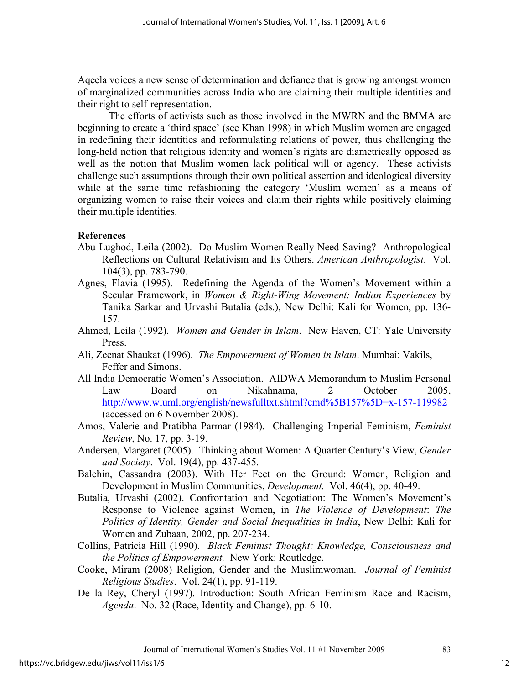Aqeela voices a new sense of determination and defiance that is growing amongst women of marginalized communities across India who are claiming their multiple identities and their right to self-representation.

The efforts of activists such as those involved in the MWRN and the BMMA are beginning to create a 'third space' (see Khan 1998) in which Muslim women are engaged in redefining their identities and reformulating relations of power, thus challenging the long-held notion that religious identity and women's rights are diametrically opposed as well as the notion that Muslim women lack political will or agency. These activists challenge such assumptions through their own political assertion and ideological diversity while at the same time refashioning the category 'Muslim women' as a means of organizing women to raise their voices and claim their rights while positively claiming their multiple identities.

#### **References**

- Abu-Lughod, Leila (2002). Do Muslim Women Really Need Saving? Anthropological Reflections on Cultural Relativism and Its Others. *American Anthropologist*. Vol. 104(3), pp. 783-790.
- Agnes, Flavia (1995). Redefining the Agenda of the Women's Movement within a Secular Framework, in *Women & Right-Wing Movement: Indian Experiences* by Tanika Sarkar and Urvashi Butalia (eds.), New Delhi: Kali for Women, pp. 136- 157.
- Ahmed, Leila (1992). *Women and Gender in Islam*. New Haven, CT: Yale University Press.
- Ali, Zeenat Shaukat (1996). *The Empowerment of Women in Islam*. Mumbai: Vakils, Feffer and Simons.
- All India Democratic Women's Association. AIDWA Memorandum to Muslim Personal Law Board on Nikahnama, 2 October 2005, http://www.wluml.org/english/newsfulltxt.shtml?cmd%5B157%5D=x-157-119982 (accessed on 6 November 2008).
- Amos, Valerie and Pratibha Parmar (1984). Challenging Imperial Feminism, *Feminist Review*, No. 17, pp. 3-19.
- Andersen, Margaret (2005). Thinking about Women: A Quarter Century's View, *Gender and Society*. Vol. 19(4), pp. 437-455.
- Balchin, Cassandra (2003). With Her Feet on the Ground: Women, Religion and Development in Muslim Communities, *Development.* Vol. 46(4), pp. 40-49.
- Butalia, Urvashi (2002). Confrontation and Negotiation: The Women's Movement's Response to Violence against Women, in *The Violence of Development*: *The Politics of Identity, Gender and Social Inequalities in India*, New Delhi: Kali for Women and Zubaan, 2002, pp. 207-234.
- Collins, Patricia Hill (1990). *Black Feminist Thought: Knowledge, Consciousness and the Politics of Empowerment.* New York: Routledge.
- Cooke, Miram (2008) Religion, Gender and the Muslimwoman. *Journal of Feminist Religious Studies*. Vol. 24(1), pp. 91-119.
- De la Rey, Cheryl (1997). Introduction: South African Feminism Race and Racism, *Agenda*. No. 32 (Race, Identity and Change), pp. 6-10.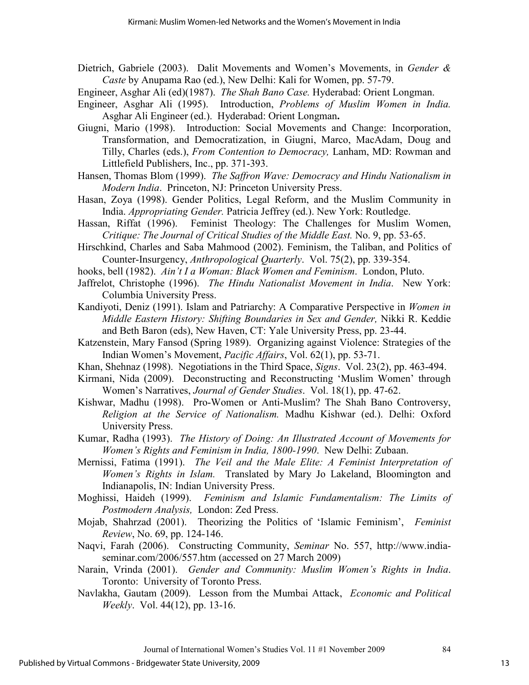- Dietrich, Gabriele (2003). Dalit Movements and Women's Movements, in *Gender & Caste* by Anupama Rao (ed.), New Delhi: Kali for Women, pp. 57-79.
- Engineer, Asghar Ali (ed)(1987). *The Shah Bano Case.* Hyderabad: Orient Longman.
- Engineer, Asghar Ali (1995). Introduction, *Problems of Muslim Women in India.*  Asghar Ali Engineer (ed.). Hyderabad: Orient Longman**.**
- Giugni, Mario (1998). Introduction: Social Movements and Change: Incorporation, Transformation, and Democratization, in Giugni, Marco, MacAdam, Doug and Tilly, Charles (eds.), *From Contention to Democracy,* Lanham, MD: Rowman and Littlefield Publishers, Inc., pp. 371-393.
- Hansen, Thomas Blom (1999). *The Saffron Wave: Democracy and Hindu Nationalism in Modern India*. Princeton, NJ: Princeton University Press.
- Hasan, Zoya (1998). Gender Politics, Legal Reform, and the Muslim Community in India. *Appropriating Gender.* Patricia Jeffrey (ed.). New York: Routledge.
- Hassan, Riffat (1996). Feminist Theology: The Challenges for Muslim Women, *Critique: The Journal of Critical Studies of the Middle East.* No. 9, pp. 53-65.
- Hirschkind, Charles and Saba Mahmood (2002). Feminism, the Taliban, and Politics of Counter-Insurgency, *Anthropological Quarterly*. Vol. 75(2), pp. 339-354.
- hooks, bell (1982). *Ain't I a Woman: Black Women and Feminism*. London, Pluto.
- Jaffrelot, Christophe (1996). *The Hindu Nationalist Movement in India*. New York: Columbia University Press.
- Kandiyoti, Deniz (1991). Islam and Patriarchy: A Comparative Perspective in *Women in Middle Eastern History: Shifting Boundaries in Sex and Gender,* Nikki R. Keddie and Beth Baron (eds), New Haven, CT: Yale University Press, pp. 23-44.
- Katzenstein, Mary Fansod (Spring 1989). Organizing against Violence: Strategies of the Indian Women's Movement, *Pacific Affairs*, Vol. 62(1), pp. 53-71.
- Khan, Shehnaz (1998). Negotiations in the Third Space, *Signs*. Vol. 23(2), pp. 463-494.
- Kirmani, Nida (2009). Deconstructing and Reconstructing 'Muslim Women' through Women's Narratives, *Journal of Gender Studies*. Vol. 18(1), pp. 47-62.
- Kishwar, Madhu (1998). Pro-Women or Anti-Muslim? The Shah Bano Controversy, *Religion at the Service of Nationalism.* Madhu Kishwar (ed.). Delhi: Oxford University Press.
- Kumar, Radha (1993). *The History of Doing: An Illustrated Account of Movements for Women's Rights and Feminism in India, 1800-1990*. New Delhi: Zubaan.
- Mernissi, Fatima (1991). *The Veil and the Male Elite: A Feminist Interpretation of Women's Rights in Islam.* Translated by Mary Jo Lakeland, Bloomington and Indianapolis, IN: Indian University Press.
- Moghissi, Haideh (1999). *Feminism and Islamic Fundamentalism: The Limits of Postmodern Analysis,* London: Zed Press.
- Mojab, Shahrzad (2001). Theorizing the Politics of 'Islamic Feminism', *Feminist Review*, No. 69, pp. 124-146.
- Naqvi, Farah (2006). Constructing Community, *Seminar* No. 557, http://www.indiaseminar.com/2006/557.htm (accessed on 27 March 2009)
- Narain, Vrinda (2001). *Gender and Community: Muslim Women's Rights in India*. Toronto: University of Toronto Press.
- Navlakha, Gautam (2009). Lesson from the Mumbai Attack, *Economic and Political Weekly*. Vol. 44(12), pp. 13-16.